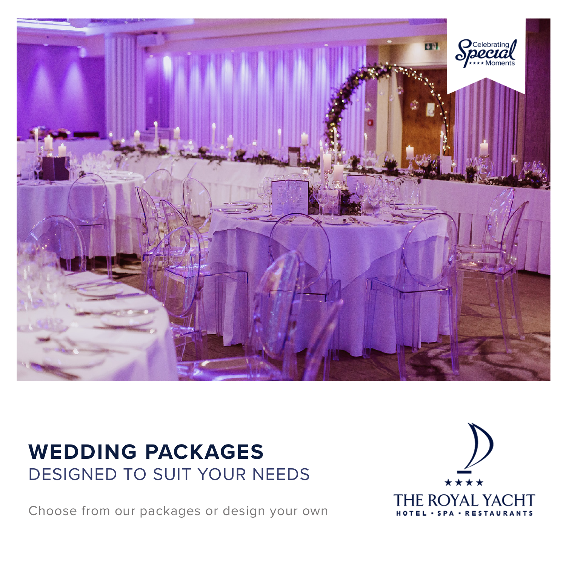

## **WEDDING PACKAGES** DESIGNED TO SUIT YOUR NEEDS

Choose from our packages or design your own

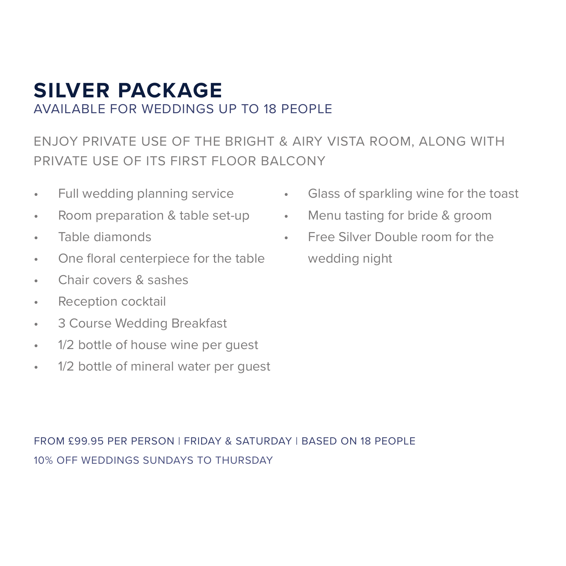### **SILVER PACKAGE** AVAILABLE FOR WEDDINGS UP TO 18 PEOPLE

ENJOY PRIVATE USE OF THE BRIGHT & AIRY VISTA ROOM, ALONG WITH PRIVATE USE OF ITS FIRST FLOOR BALCONY

- Full wedding planning service
- Room preparation & table set-up
- Table diamonds
- One floral centerpiece for the table
- Chair covers & sashes
- Reception cocktail
- 3 Course Wedding Breakfast
- 1/2 bottle of house wine per guest
- 1/2 bottle of mineral water per guest
- Glass of sparkling wine for the toast
- Menu tasting for bride & groom
- Free Silver Double room for the wedding night

FROM £99.95 PER PERSON | FRIDAY & SATURDAY | BASED ON 18 PEOPLE 10% OFF WEDDINGS SUNDAYS TO THURSDAY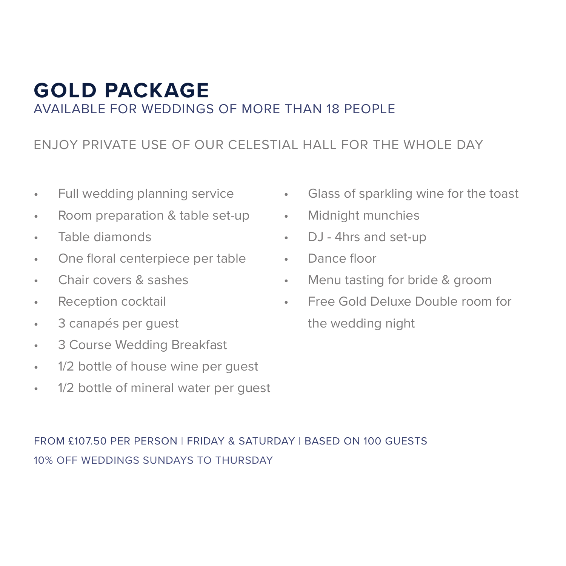### **GOLD PACKAGE** AVAILABLE FOR WEDDINGS OF MORE THAN 18 PEOPLE

#### ENJOY PRIVATE USE OF OUR CELESTIAL HALL FOR THE WHOLE DAY

- Full wedding planning service
- Room preparation & table set-up
- Table diamonds
- One floral centerpiece per table
- Chair covers & sashes
- Reception cocktail
- 3 canapés per guest
- 3 Course Wedding Breakfast
- 1/2 bottle of house wine per guest
- 1/2 bottle of mineral water per guest
- Glass of sparkling wine for the toast
- Midnight munchies
- DJ 4hrs and set-up
- Dance floor
- Menu tasting for bride & groom
- Free Gold Deluxe Double room for the wedding night

#### FROM £107.50 PER PERSON | FRIDAY & SATURDAY | BASED ON 100 GUESTS 10% OFF WEDDINGS SUNDAYS TO THURSDAY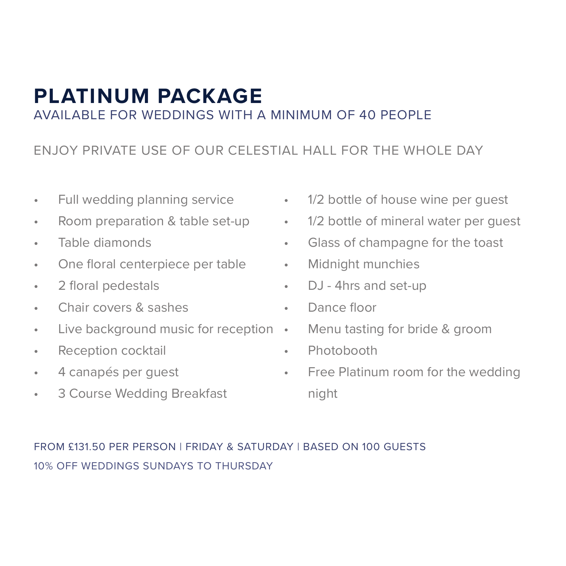### **PLATINUM PACKAGE** AVAILABLE FOR WEDDINGS WITH A MINIMUM OF 40 PEOPLE

#### ENJOY PRIVATE USE OF OUR CELESTIAL HALL FOR THE WHOLE DAY

- Full wedding planning service
- Room preparation & table set-up
- Table diamonds
- One floral centerpiece per table
- 2 floral pedestals
- Chair covers & sashes
- Live background music for reception Menu tasting for bride & groom
- Reception cocktail
- 4 canapés per guest
- 3 Course Wedding Breakfast
- 1/2 bottle of house wine per quest
	- 1/2 bottle of mineral water per guest
	- Glass of champagne for the toast
	- Midnight munchies
	- DJ 4hrs and set-up
	- Dance floor
	-
	- Photobooth
	- Free Platinum room for the wedding night

#### FROM £131.50 PER PERSON | FRIDAY & SATURDAY | BASED ON 100 GUESTS 10% OFF WEDDINGS SUNDAYS TO THURSDAY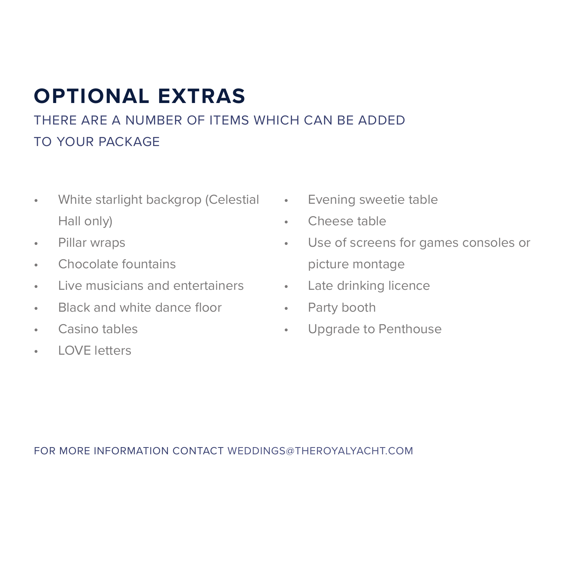# **OPTIONAL EXTRAS**

THERE ARE A NUMBER OF ITEMS WHICH CAN BE ADDED TO YOUR PACKAGE

- White starlight backgrop (Celestial Evening sweetie table Hall only)
- Pillar wraps
- Chocolate fountains
- Live musicians and entertainers
- Black and white dance floor
- Casino tables
- LOVE letters
- 
- Cheese table
- Use of screens for games consoles or picture montage
- Late drinking licence
- Party booth
- Upgrade to Penthouse

FOR MORE INFORMATION CONTACT WEDDINGS@THEROYALYACHT.COM